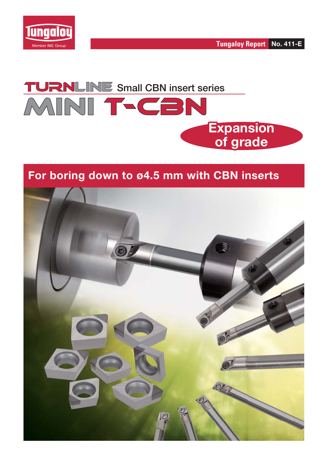





## **For boring down to ø4.5 mm with CBN inserts**

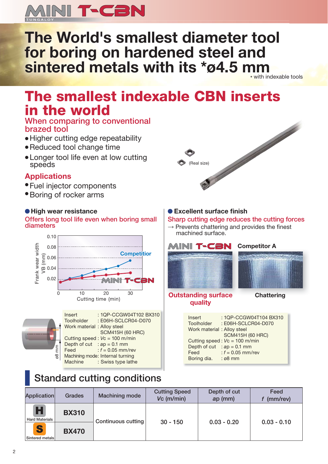

# **The World's smallest diameter tool for boring on hardened steel and sintered metals with its \*ø4.5 mm**

with indexable tools

# **The smallest indexable CBN inserts in the world**

### **When comparing to conventional brazed tool**

- Higher cutting edge repeatability
- Reduced tool change time
- Longer tool life even at low cutting speeds

## **Applications**

- Fuel injector components
- Boring of rocker arms

#### **High wear resistance**

**Offers long tool life even when boring small diameters**





## **Standard cutting conditions**



### **Excellent surface finish**

**Sharp cutting edge reduces the cutting forces**

 $\rightarrow$  Prevents chattering and provides the finest machined surface.



#### **Outstanding surface Chattering quality**

| : 1QP-CCGW04T104 BX310<br>Insert<br>: E06H-SCLCR04-D070<br><b>Toolholder</b> |
|------------------------------------------------------------------------------|
| Work material : Alloy steel                                                  |
| <b>SCM415H (60 HRC)</b>                                                      |
| Cutting speed: $Vc = 100$ m/min                                              |
| Depth of cut : $ap = 0.1$ mm                                                 |
| : $f = 0.05$ mm/rev<br>Feed                                                  |
| Boring dia.<br>$: \varnothing$ 8 mm                                          |

| Application                | <b>Grades</b> | <b>Machining mode</b> | <b>Cutting Speed</b><br>$Vc$ (m/min) | Depth of cut<br>$ap$ (mm) | Feed<br>(mm/rev) |  |  |
|----------------------------|---------------|-----------------------|--------------------------------------|---------------------------|------------------|--|--|
| Н<br><b>Hard Materials</b> | <b>BX310</b>  | Continuous cutting    | $30 - 150$                           | $0.03 - 0.20$             |                  |  |  |
| S<br>Sintered metals       | <b>BX470</b>  |                       |                                      |                           | $0.03 - 0.10$    |  |  |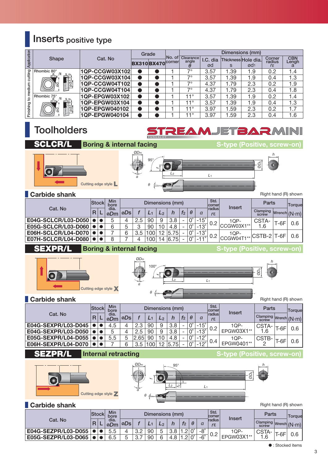## **Inserts positive type**

|             |             |                |                  | Grade |             | Dimensions (mm)                |                |      |                                        |                                       |                     |  |  |  |
|-------------|-------------|----------------|------------------|-------|-------------|--------------------------------|----------------|------|----------------------------------------|---------------------------------------|---------------------|--|--|--|
| Application | Shape       | Cat. No        | BX310BX470Corner |       | INo.<br>of. | <b>Clearance</b><br>angle<br>θ | I.C. dia<br>ød | S    | Thickness Hole dia.<br>Ød <sub>1</sub> | Corner<br>radius<br>$r_{\mathcal{E}}$ | <b>CBN</b><br>Lengh |  |  |  |
|             | Rhombic 80° | 1QP-CCGW03X102 |                  |       |             | 70                             | 3.57           | .39  | 1.9                                    | 0.2                                   | 1.4                 |  |  |  |
| cutting     |             | 1QP-CCGW03X104 |                  |       |             | $7^{\circ}$                    | 3.57           | .39  | 1.9                                    | 0.4                                   | 1.3                 |  |  |  |
|             |             | 1QP-CCGW04T102 |                  |       |             | 70                             | 4.37           | .79  | 2.3                                    | 0.2                                   | 1.9                 |  |  |  |
| medium      |             | 1QP-CCGW04T104 |                  |       |             | 70                             | 4.37           | .79  | 2.3                                    | 0.4                                   | 1.8                 |  |  |  |
| ೆ           | Rhombic 75° | 1QP-EPGW03X102 |                  |       |             | 11°                            | 3.57           | 1.39 | 1.9                                    | 0.2                                   | 1.4                 |  |  |  |
|             |             | 1QP-EPGW03X104 |                  |       |             | 11°                            | 3.57           | .39  | 1.9                                    | 0.4                                   | 1.3                 |  |  |  |
| Finishing   |             | 1QP-EPGW040102 |                  |       |             | 11°                            | 3.97           | .59  | 2.3                                    | 0.2                                   | 1.7                 |  |  |  |
|             |             | 1QP-EPGW040104 |                  |       |             | $11^{\circ}$                   | 3.97           | .59  | 2.3                                    | 0.4                                   | 1.6                 |  |  |  |

## **Toolholders**

## **EAMJETBARMINI**

*O*

Ø*D*s

#### **SCLCR/L Boring & internal facing S-type (Positive, screw-on)**







**Carbide shank** Right hand (R) shown

| Cat. No             |  | <b>Min</b><br><b>Stock</b><br>bore |                            |     |     |    | Dimensions (mm) |                          |                      |                                  | Std.<br>corner<br>Insert         |                                                                                 | Parts                 |     | Torque |
|---------------------|--|------------------------------------|----------------------------|-----|-----|----|-----------------|--------------------------|----------------------|----------------------------------|----------------------------------|---------------------------------------------------------------------------------|-----------------------|-----|--------|
|                     |  | R I                                | dia.<br>logDm   <i>oDs</i> |     |     | L2 | n               | f <sub>2</sub>           | θ                    | a                                | <b>Tradius</b><br>$r_{\epsilon}$ |                                                                                 | Clamping Wrench (N·m) |     |        |
| E04G-SCLCR/L03-D050 |  |                                    |                            | 2.5 | 90  | 9  | 3.8             | $\overline{\phantom{a}}$ |                      | $-15^\circ$                      |                                  | $1QP-$                                                                          | CSTA-                 | -6F |        |
| E05G-SCLCR/L03-D060 |  |                                    |                            |     | 90  | 10 | 4.8             |                          |                      | $-13^\circ$                      | 0.2                              | CCGW03X1**                                                                      | 1.6                   |     | 0.6    |
| E06H-SCLCR/L04-D070 |  |                                    |                            | 3.5 | 00  |    | 5.75            |                          |                      | $-13^\circ$                      |                                  | $1QP-$                                                                          |                       |     | 0.6    |
| E07H-SCLCR/L04-D080 |  |                                    |                            |     | 100 |    | 14 6.75         |                          | $\mathsf{D}^{\circ}$ | $-1$<br>$\overline{\phantom{a}}$ | 0.2                              | <lccgw04t1** cstb-2 t-6fi< th=""><th></th><th></th></lccgw04t1** cstb-2 t-6fi<> |                       |     |        |

#### **SEXPR/L Boring & internal facing S-type (Positive, screw-on)**

**Cutting edge style X**

*f*Ø*D*m α *L*<sup>2</sup> *L*<sup>1</sup> h θ 100° Ø*D*s Right hand (R) shown

**Carbide shank**

|                     |    | <b>Min</b><br>Stock<br>bore |                                    | Dimensions (mm) |      |                  |                |      |                |                      |             | Std.<br><b>corner</b>  | Insert     | Parts                 |      | Torque |
|---------------------|----|-----------------------------|------------------------------------|-----------------|------|------------------|----------------|------|----------------|----------------------|-------------|------------------------|------------|-----------------------|------|--------|
| Cat. No             | R. |                             | dia.<br>$\log D$ m $ $ ø $D$ s $ $ |                 |      |                  | L <sub>2</sub> |      | f <sub>2</sub> | $\theta$             | a           | 1radius<br>$r\epsilon$ |            | Clamping Wrench (N·m) |      |        |
| E04G-SEXPR/L03-D045 |    |                             | 4.5                                |                 | 2.3  | 90               | 9              | 3.8  | -              | $\mathbf{C}^{\circ}$ | $-15^\circ$ | 0.2                    | 10P-       | CSTA-                 | T-6F | 0.6    |
| E04G-SEXPR/L03-D050 |    |                             |                                    |                 | 2.5  | 90               | 9              | 3.8  |                | $0^{\circ}$          | $-13^\circ$ |                        | EPGW03X1** | ∣.6                   |      |        |
| E05G-SEXPR/L04-D055 |    |                             | 5.5                                |                 | 2.65 | 90               |                | 4.8  |                | $0^{\circ}$          | $-12^\circ$ | 0.4                    | $1QP-$     | CSTB-                 | T-6F | 0.6    |
| E06H-SEXPR/L04-D070 |    |                             |                                    |                 | 3.5  | 100 <sub>1</sub> | 12             | 5.75 |                | $0^{\circ}$          | $-12^\circ$ |                        | EPGW0401** |                       |      |        |

#### **SEZPR/ Internal retracting S-type (Positive, screw-on)**





Right hand (R) shown

|                     |  | Stockl | <b>Min</b><br>bore |       |     |    | Dimensions (mm) |                          |                      |            | Std.<br>corner | Insert                | Parts |      | Torque |
|---------------------|--|--------|--------------------|-------|-----|----|-----------------|--------------------------|----------------------|------------|----------------|-----------------------|-------|------|--------|
| Cat. No             |  |        | dia.<br>∣øDm       | løDs. |     |    |                 |                          | θ                    |            | <b>Tradius</b> | Clamping Wrench (N·m) |       |      |        |
| E04G-SEZPR/L03-D055 |  |        |                    |       | 3.2 | 90 |                 | $\Omega$<br>. <u>. .</u> |                      | $-8^\circ$ |                | $1QP-$                | CSTA  |      |        |
| E05G-SEZPR/L03-D065 |  |        | 6.5                |       | 3.  | 90 | 4.8             | $\sim$                   | $\mathbf{C}^{\circ}$ | $-6^\circ$ | 0.2            | EPGW03X1**            | -6    | r-6F |        |

 $\bullet$  : Stocked items

3